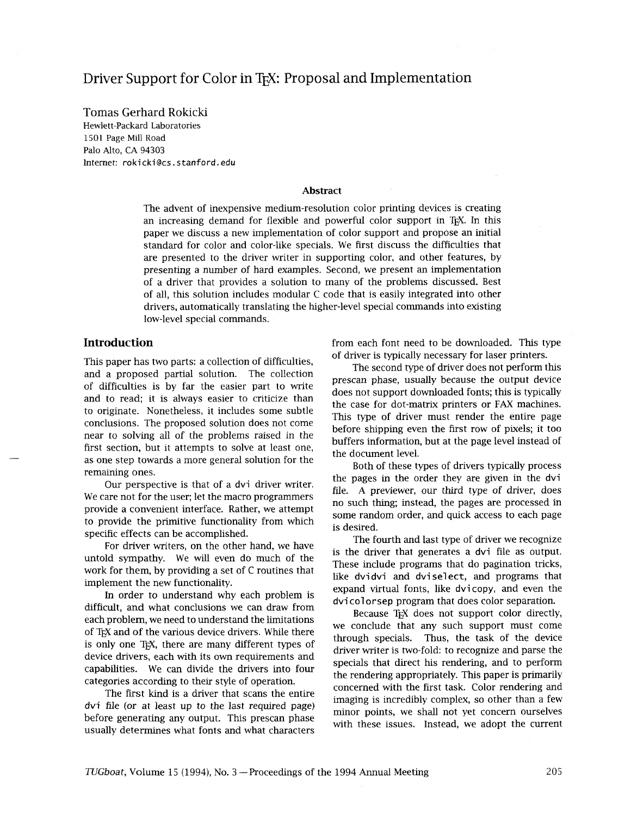# Driver Support for Color in T<sub>EX</sub>: Proposal and Implementation

Tomas Gerhard Rokicki Hewlett-Packard Laboratories 1501 Page Mill Road Palo Alto, CA 94303 Internet: **rokicki@cs.** stanford. edu

### **Abstract**

The advent of inexpensive medium-resolution color printing devices is creating an increasing demand for flexible and powerful color support in TEX. In this paper we discuss a new implementation of color support and propose an initial standard for color and color-like specials. We first discuss the difficulties that are presented to the driver writer in supporting color, and other features, by presenting a number of hard examples. Second, we present an implementation of a driver that provides a solution to many of the problems discussed. Best of all, this solution includes modular C code that is easily integrated into other drivers, automatically translating the higher-level special commands into existing low-level special commands.

This paper has two parts: a collection of difficulties, and a proposed partial solution. The collection of difficulties is by far the easier part to write and to read; it is always easier to criticize than to originate. Nonetheless, it includes some subtle conclusions. The proposed solution does not come near to solving all of the problems raised in the first section, but it attempts to solve at least one, as one step towards a more general solution for the remaining ones.

Our perspective is that of a dvi driver writer. We care not for the user; let the macro programmers provide a convenient interface. Rather, we attempt to provide the primitive functionality from which specific effects can be accomplished.

For driver writers, on the other hand, we have untold sympathy. We will even do much of the work for them, by providing a set of C routines that implement the new functionality.

In order to understand why each problem is difficult, and what conclusions we can draw from each problem, we need to understand the limitations of T<sub>EX</sub> and of the various device drivers. While there is only one T<sub>E</sub>X, there are many different types of device drivers, each with its own requirements and capabilities. We can divide the drivers into four categories according to their style of operation.

The first kind is a driver that scans the entire dvi file (or at least up to the last required page) before generating any output. This prescan phase usually determines what fonts and what characters

**Introduction from each font need to be downloaded.** This type of driver is typically necessary for laser printers.

> The second type of driver does not perform this prescan phase, usually because the output device does not support downloaded fonts; this is typically the case for dot-matrix printers or FAX machines. This type of driver must render the entire page before shipping even the first row of pixels; it too buffers information, but at the page level instead of the document level.

> Both of these types of drivers typically process the pages in the order they are given in the dvi file. A previewer, our third type of driver, does no such thing; instead, the pages are processed in some random order, and quick access to each page is desired.

> The fourth and last type of driver we recognize is the driver that generates a dvi file as output. These include programs that do pagination tricks, like dvidvi and dviselect, and programs that expand virtual fonts, like dvi copy, and even the dvicolorsep program that does color separation.

> Because T<sub>F</sub>X does not support color directly, we conclude that any such support must come through specials. Thus, the task of the device driver writer is two-fold: to recognize and parse the specials that direct his rendering, and to perform the rendering appropriately. This paper is primarily concerned with the first task. Color rendering and imaging is incredibly complex, so other than a few minor points, we shall not yet concern ourselves with these issues. Instead, we adopt the current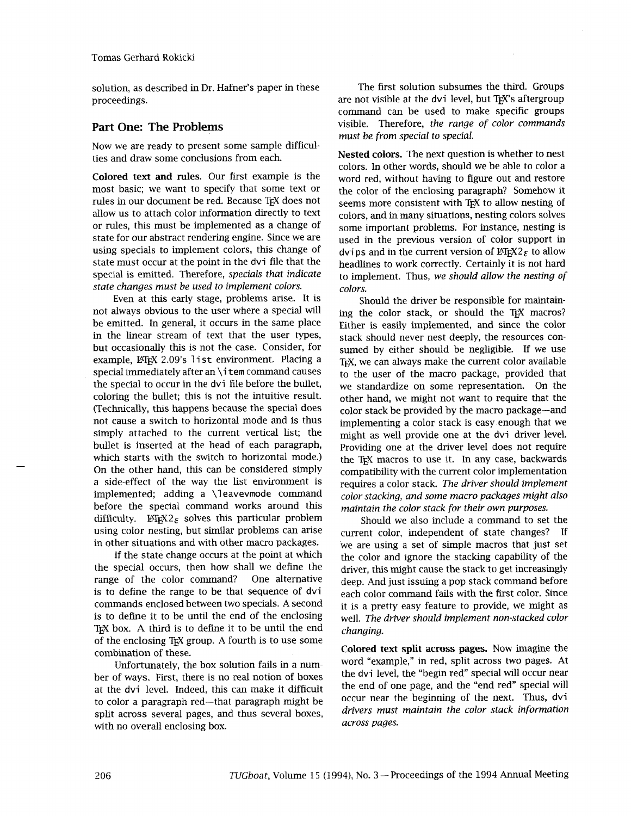solution, as described in Dr. Hafner's paper in these proceedings.

## **Part One: The Problems**

Now we are ready to present some sample difficulties and draw some conclusions from each.

Colored text and **rules.** Our first example is the most basic; we want to specify that some text or rules in our document be red. Because TFX does not allow us to attach color information directly to text or rules, this must be implemented as a change of state for our abstract rendering engine. Since we are using specials to implement colors, this change of state must occur at the point in the dvi file that the special is emitted. Therefore, *specials that indicate state changes must be used to implement colors.* 

Even at this early stage, problems arise. It is not always obvious to the user where a special will be emitted. In general, it occurs in the same place in the linear stream of text that the user types, but occasionally this is not the case. Consider, for but occasionally this is not the case. Consider, for example, LATEX 2.09's 1 ist environment. Placing a  $\frac{1}{2}$ <br>example,  $\frac{1}{2}$  Eq. (9)  $\frac{1}{3}$  is the example of the command causes<br>special immediately after an \item command causes the special to occur in the dvi file before the bullet, coloring the bullet; this is not the intuitive result. (Technically, this happens because the special does not cause a switch to horizontal mode and is thus simply attached to the current vertical list; the bullet is inserted at the head of each paragraph, which starts with the switch to horizontal mode.) On the other hand, this can be considered simply a side-effect of the way the list environment is implemented; adding a \l **eavevmode** command before the special command works around this difficulty. IATEX2 $_{\epsilon}$  solves this particular problem using color nesting, but similar problems can arise in other situations and with other macro packages.

If the state change occurs at the point at which the special occurs, then how shall we define the range of the color command? One alternative is to define the range to be that sequence of dvi commands enclosed between two specials. A second is to define it to be until the end of the enclosing TEX box. **A** third is to define it to be until the end of the enclosing TEX group. A fourth is to use some combination of these.

Unfortunately, the box solution fails in a number of ways. First, there is no real notion of boxes at the dvi level. Indeed, this can make it difficult to color a paragraph red-that paragraph might be split across several pages, and thus several boxes, with no overall enclosing box.

The first solution subsumes the third. Groups are not visible at the dvi level, but TEX's aftergroup command can be used to make specific groups visible. Therefore, *the range of color commands must be from special to special.* 

Nested colors. The next question is whether to nest colors. In other words, should we be able to color a word red, without having to figure out and restore the color of the enclosing paragraph? Somehow it seems more consistent with TEX to allow nesting of colors, and in many situations, nesting colors solves some important problems. For instance, nesting is used in the previous version of color support in dvips and in the current version of  $\mathbb{F} \times \mathbb{F}^2$  to allow headlines to work correctly. Certainly it is not hard to implement. Thus, *we should allow the nesting of colors.* 

Should the driver be responsible for maintaining the color stack, or should the T<sub>E</sub>X macros? Either is easily implemented, and since the color stack should never nest deeply, the resources consumed by either should be negligible. If we use TEX, we can always make the current color available to the user of the macro package, provided that we standardize on some representation. On the other hand, we might not want to require that the color stack be provided by the macro package-and implementing a color stack is easy enough that we might as well provide one at the dvi driver level. Providing one at the driver level does not require the TEX macros to use it. In any case, backwards compatibility with the current color implementation requires a color stack. *The driver should implement color stacking, and some macro packages might also maintain the color stack for their own purposes.* 

Should we also include a command to set the current color, independent of state changes? If we are using a set of simple macros that just set the color and ignore the stacking capability of the driver, this might cause the stack to get increasingly deep. And just issuing a pop stack command before each color command fails with the first color. Since it is a pretty easy feature to provide, we might as well. *The driver should implement non-stacked color changing.* 

Colored text split across pages. Now imagine the word "example," in red, split across two pages. At the dvi level, the "begin red" special will occur near the end of one page, and the "end red" special will occur near the beginning of the next. Thus, dvi *drivers must maintain the color stack information across pages.*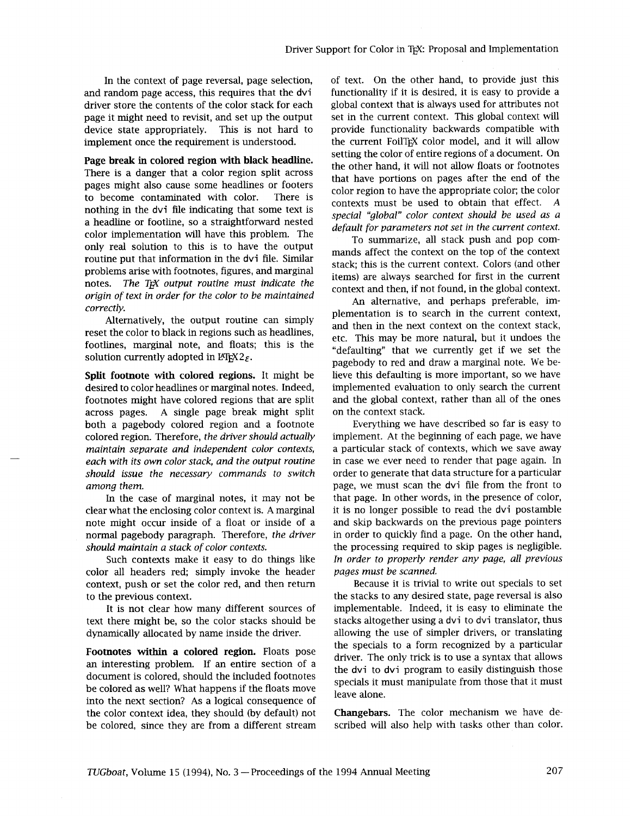and random page access, this requires that the dvintourality if it is desired, it is easy to provide a<br>driver store the contents of the color stack for eachythe albal context that is always used for attributes not driver store the contents of the color stack for each page it might need to revisit, and set up the output set in the current context. This global context will device state appropriately. This is not hard to provide functionality backwards compatible with implement once the requirement is understood. In the current Foil T<sub>E</sub>X color model, and it will allow implement once the requirement is understood.

Page break in colored region **with** black headline. There is a danger that a color region split across pages might also cause some headlines or footers to become contaminated with color. There is nothing in the dvi file indicating that some text is a headline or footline, so a straightforward nested color implementation will have this problem. The only real solution to ths is to have the output routine put that information in the dvi file. Similar problems arise with footnotes, figures, and marginal notes. The T<sub>F</sub>X output routine must indicate the *origin of text in order for the color to be maintained correctly.* 

Alternatively, the output routine can simply reset the color to black in regions such as headlines, footlines, marginal note, and floats; this is the solution currently adopted in  $\mathbb{F}T_{E}X2_{\varepsilon}$ .

Split footnote with colored regions. It might be desired to color headlines or marginal notes. Indeed, footnotes might have colored regions that are split across pages. A single page break might split both a pagebody colored region and a footnote colored region. Therefore, *the driver should actually maintain separate and independent color contexts, each with its own color stack, and the output routine should issue the necessary commands to switch among them.* 

In the case of marginal notes, it may not be clear what the enclosing color context is. **A** marginal note might occur inside of a float or inside of a normal pagebody paragraph. Therefore, *the driver should maintain a stack of color contexts.* 

Such contexts make it easy to do things like color all headers red; simply invoke the header context, push or set the color red, and then return to the previous context.

It is not clear how many different sources of text there might be, so the color stacks should be dynamically allocated by name inside the driver.

Footnotes **within** a colored region. Floats pose an interesting problem. If an entire section of a document is colored, should the included footnotes be colored as well? What happens if the floats move into the next section? As a logical consequence of the color context idea, they should (by default) not be colored, since they are from a different stream

In the context of page reversal, page selection, of text. On the other hand, to provide just this random page access, this requires that the dvi functionality if it is desired, it is easy to provide a setting the color of entire regions of a document. On the other hand, it will not allow floats or footnotes that have portions on pages after the end of the color region to have the appropriate color; the color contexts must be used to obtain that effect. *A special "global" color context should be used as a default for parameters not set in the current context.* 

> To summarize, all stack push and pop commands affect the context on the top of the context stack; this is the current context. Colors (and other items) are always searched for first in the current context and then, if not found, in the global context.

> An alternative, and perhaps preferable, implementation is to search in the current context, and then in the next context on the context stack, etc. This may be more natural, but it undoes the "defaulting" that we currently get if we set the pagebody to red and draw a marginal note. We believe this defaulting is more important, so we have implemented evaluation to only search the current and the global context, rather than all of the ones on the context stack.

> Everything we have described so far is easy to implement. At the beginning of each page, we have a particular stack of contexts, whlch we save away in case we ever need to render that page again. In order to generate that data structure for a particular page, we must scan the dvi file from the front to that page. In other words, in the presence of color, it is no longer possible to read the dvi postamble and skip backwards on the previous page pointers in order to quickly find a page. On the other hand, the processing required to skip pages is negligible. *In order to properly render any page, all previous pages must be scanned.*

> Because it is trivial to write out specials to set the stacks to any desired state, page reversal is also implementable. Indeed, it is easy to elinmate the stacks altogether using a dvi to dvi translator, thus allowing the use of simpler drivers, or translating the specials to a form recognized by a particular driver. The only trick is to use a syntax that allows the dvi to dvi program to easily distinguish those specials it must manipulate from those that it must leave alone.

> Changebars. The color mechanism we have described will also help with tasks other than color.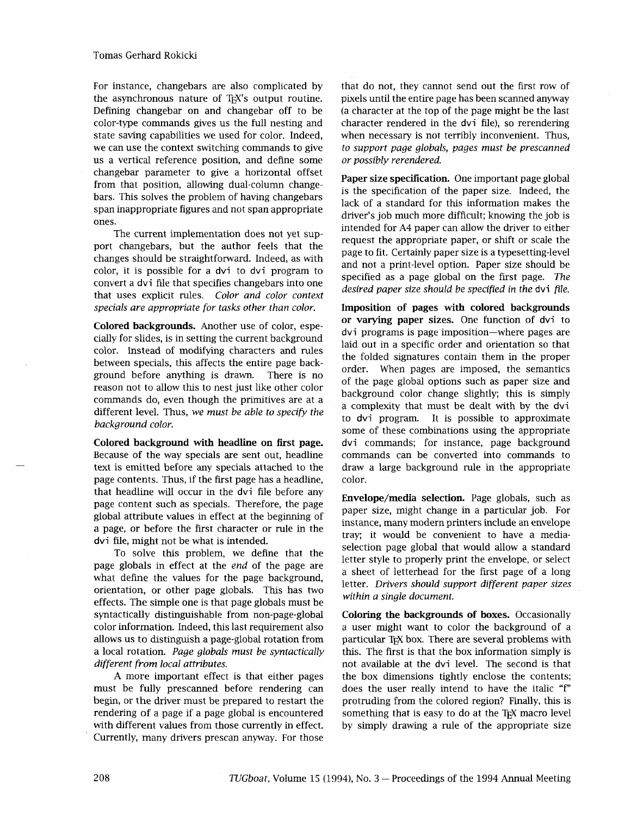For instance, changebars are also complicated by the asynchronous nature of T<sub>E</sub>X's output routine. Defimng changebar on and changebar off to be color-type commands gives us the full nesting and state saving capabilities we used for color. Indeed, we can use the context switching commands to give us a vertical reference position, and define some changebar parameter to give a horizontal offset from that position, allowing dual-column changebars. This solves the problem of having changebars span inappropriate figures and not span appropriate ones.

The current implementation does not yet support changebars, but the author feels that the changes should be straightforward. Indeed, as with color, it is possible for a dvi to dvi program to convert a dvi file that specifies changebars into one that uses explicit rules. *Color and color context specials are appropriate for tasks other than color.* 

**Colored backgrounds.** Another use of color, especially for slides, is in setting the current background color. Instead of modifying characters and rules between specials, this affects the entire page background before anything is drawn. There is no reason not to allow this to nest just like other color commands do, even though the primitives are at a different level. Thus, *we must be able to specify the background color.* 

**Colored background** with **headline on first page.**  Because of the way specials are sent out, headline text is emitted before any specials attached to the page contents. Thus, if the first page has a headline, that headline will occur in the dvi file before any page content such as specials. Therefore, the page global attribute values in effect at the beginning of a page, or before the first character or rule in the dvi file, might not be what is intended.

To solve this problem, we define that the page globals in effect at the *end* of the page are what define the values for the page background, orientation, or other page globals. This has two effects. The simple one is that page globals must be syntactically distinguishable from non-page-global color information. Indeed, this last requirement also allows us to distinguish a page-global rotation from a local rotation. *Page globals must be syntactically different from local attributes.* 

A more important effect is that either pages must be fully prescanned before rendering can begin, or the driver must be prepared to restart the rendering of a page if a page global is encountered with different values from those currently in effect. Currently, many drivers prescan anyway. For those

that do not, they cannot send out the first row of pixels until the entire page has been scanned anyway (a character at the top of the page might be the last character rendered in the dvi file), so rerendering when necessary is not terribly inconvenient. Thus, *to support page globals, pages must be prescanned or possibly rerendered.* 

**Paper size specification.** One important page global is the specification of the paper size. Indeed, the lack of a standard for this information makes the driver's job much more difficult; knowing the job is intended for A4 paper can allow the driver to either request the appropriate paper, or shift or scale the page to fit. Certainly paper size is a typesetting-level and not a print-level option. Paper size should be specified as a page global on the first page. *The desired paper size should be specified in the* dvi *file.* 

**Imposition of pages with colored backgrounds or varying paper sizes.** One function of dvi to dvi programs is page imposition-where pages are laid out in a specific order and orientation so that the folded signatures contain them in the proper order. When pages are imposed, the semantics of the page global options such as paper size and background color change slightly; this is simply a complexity that must be dealt with by the dvi to dvi program. It is possible to approximate some of these combinations using the appropriate dvi commands; for instance, page background commands can be converted into commands to draw a large background rule in the appropriate color.

**Envelope/media selection.** Page globals, such as paper size, might change in a particular job. For instance, many modern printers include an envelope tray; it would be convenient to have a mediaselection page global that would allow a standard letter style to properly print the envelope, or select a sheet of letterhead for the first page of a long letter. *Drivers should support different paper sizes within a single document.* 

**Coloring** the **backgrounds of boxes.** Occasionally a user might want to color the background of a particular TEX box. There are several problems with this. The first is that the box information simply is not available at the dvi level. The second is that the box dimensions tightly enclose the contents; does the user really intend to have the italic "f" protruding from the colored region? Finally, this is something that is easy to do at the TEX macro level by simply drawing a rule of the appropriate size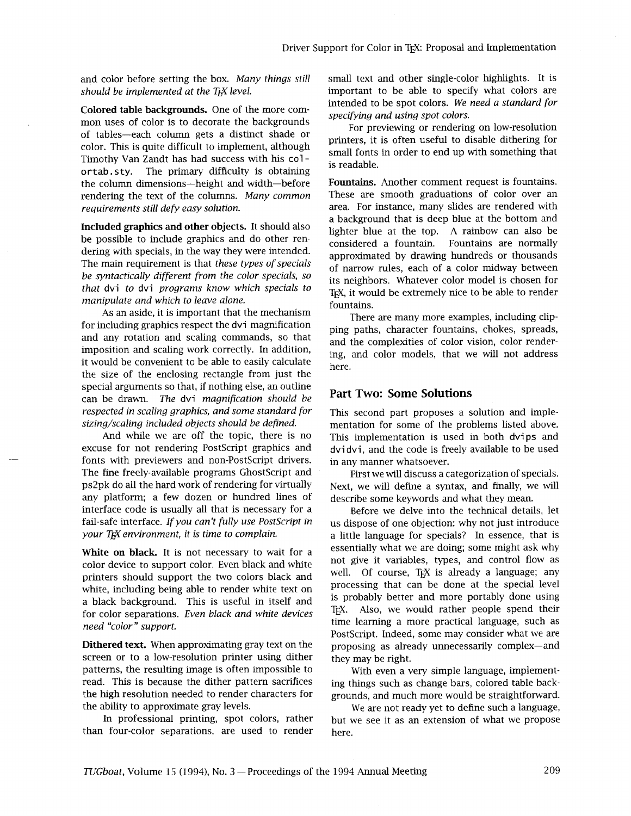*should be implemented at the T<sub>E</sub>X level.* **important to be able to specify what colors are** 

mon uses of color is to decorate the backgrounds<br>of tables—each column gets a distinct shade or<br>color. This is quite difficult to implement, although<br>Timothy Van Zandt has had success with his color<br>ortab.sty. The primary the column dimensions—height and width—before Fountains. Another comment request is fountains.<br>
Foundering the text of the columns. Many common These are smooth graduations of color over an rendering the text of the columns. *Many common* requirements still defy easy solution.

Included graphics and other objects. It should also be possible to include graphics and do other rendering with specials, in the way they were intended. The main requirement is that *these types of specials be syntactically different from the color specials, so that* dvi *to* dvi *programs know which specials to manipulate and which to leave alone.* 

As an aside, it is important that the mechanism for including graphics respect the dvi magnification and any rotation and scaling commands, so that imposition and scaling work correctly. In addition, it would be convenient to be able to easily calculate the size of the enclosing rectangle from just the special arguments so that, if nothing else, an outline can be drawn. *The* dvi *magnification should be respected in scaling graphics, and some standard for sizing/scaling included objects should be defined.* 

And while we are off the topic, there is no excuse for not rendering PostScript graphics and fonts with previewers and non-PostScript drivers. The fine freely-available programs GhostScript and ps2pk do all the hard work of rendering for virtually any platform; a few dozen or hundred lines of interface code is usually all that is necessary for a fail-safe interface. *If you can't fully use PostScript in your T<sub>F</sub>X* environment, it is time to complain.

White on **black**. It is not necessary to wait for a color device to support color. Even black and whlte printers should support the two colors black and white, including being able to render white text on a black background. This is useful in itself and for color separations. *Even black and white devices need "color" support.* 

Dithered text. When approximating gray text on the screen or to a low-resolution printer using dither patterns, the resulting image is often impossible to read. This is because the dither pattern sacrifices the high resolution needed to render characters for the ability to approximate gray levels.

In professional printing, spot colors, rather than four-color separations, are used to render

and color before setting the box. *Many things still* small text and other single-color highlights. It is **Colored table backgrounds.** One of the more com-<br>
mon uses of color is to decorate the backgrounds<br> **Colored table backgrounds**<br> **Colored table backgrounds**<br> **Colored table backgrounds** 

area. For instance, many slides are rendered with a background that is deep blue at the bottom and lighter blue at the top. A rainbow can also be considered a fountain. Fountains are normally approximated by drawing hundreds or thousands of narrow rules, each of a color midway between its neighbors. Whatever color model is chosen for TEX, it would be extremely nice to be able to render fountains.

There are many more examples, including clipping paths, character fountains, chokes, spreads, and the complexities of color vision, color rendering, and color models, that we will not address here.

### **Part Two: Some Solutions**

This second part proposes a solution and implementation for some of the problems listed above. This implementation is used in both dvips and dvi dvi, and the code is freely available to be used in any manner whatsoever.

First we will discuss a categorization of specials. Next, we will define a syntax, and finally, we will describe some keywords and what they mean.

Before we delve into the technical details, let us dispose of one objection: why not just introduce a little language for specials? In essence, that is essentially what we are doing; some might ask why not give it variables, types, and control flow as well. Of course, TEX is already a language; any processing that can be done at the special level is probably better and more portably done using TEX. Also, we would rather people spend their time learning a more practical language, such as PostScript. Indeed, some may consider what we are proposing as already unnecessarily complex-and they may be right.

With even a very simple language, implementing things such as change bars, colored table backgrounds, and much more would be straightforward.

We are not ready yet to define such a language, but we see it as an extension of what we propose here.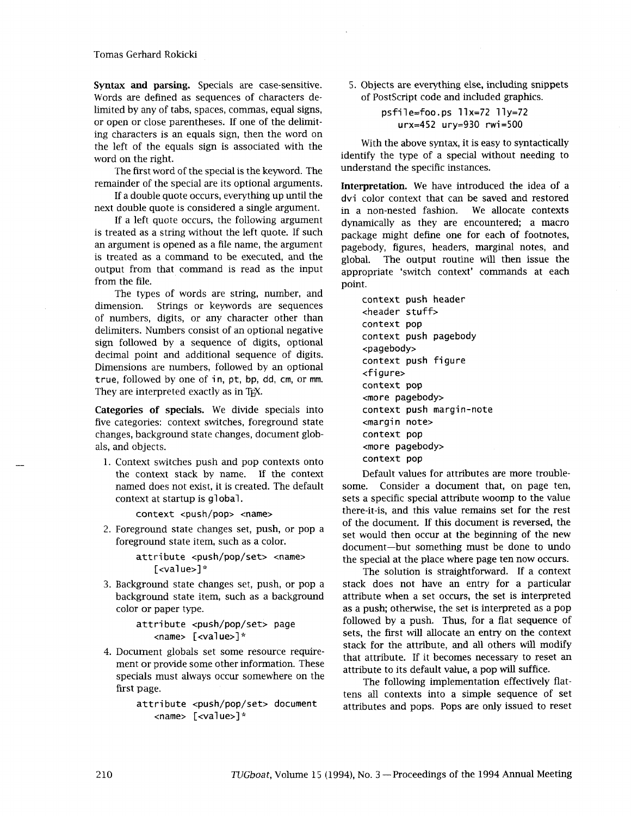Tomas Gerhard Rokicki

Syntax **and** parsing. Specials are case-sensitive. Words are defined as sequences of characters delimited by any of tabs, spaces, commas, equal signs, or open or close parentheses. If one of the delimiting characters is an equals sign, then the word on the left of the equals sign is associated with the word on the right.

The first word of the special is the keyword. The remainder of the special are its optional arguments.

If a double quote occurs, everythmg up until the next double quote is considered a single argument.

If a left quote occurs, the following argument is treated as a string without the left quote. If such an argument is opened as a file name, the argument is treated as a command to be executed, and the output from that command is read as the input from the file.

The types of words are string, number, and dimension. Strings or keywords are sequences of numbers, digits, or any character other than delimiters. Numbers consist of an optional negative sign followed by a sequence of digits, optional decimal point and additional sequence of digits. Dimensions are numbers, followed by an optional true, followed by one of in, pt, bp, dd, cm, or mm. They are interpreted exactly as in TEX.

Categories **of** specials. We divide specials into five categories: context switches, foreground state changes, background state changes, document globals, and objects.

1. Context switches push and pop contexts onto the context stack by name. If the context named does not exist, it is created. The default context at startup is global .

context <push/pop> <name>

2. Foreground state changes set, push, or pop a foreground state item, such as a color.

> attribute <push/pop/set> <name> [<val ue>] \*

**3.** Background state changes set, push, or pop a background state item, such as a background color or paper type.

> attribute <push/pop/set> page  $\langle$ name>  $\langle \langle \rangle$  <value>]\*

4. Document globals set some resource requirement or provide some other information. These specials must always occur somewhere on the first page.

<name> [<value>] \*

5. Objects are everything else, including snippets of PostScript code and included graphics.

psfi 1 e-foo . ps 11 x=72 11 y=72 urx-452 ury=930 rwi=500

With the above syntax, it is easy to syntactically identify the type of a special without needing to understand the specific instances.

Interpretation. We have introduced the idea of a dvi color context that can be saved and restored in a non-nested fashion. We allocate contexts dynamically as they are encountered; a macro package might define one for each of footnotes, pagebody, figures, headers, marginal notes, and global. The output routine will then issue the appropriate 'switch context' commands at each point.

context push header <header stuff> context pop context push pagebody <pagebody> context push figure <figure> context pop <more pagebody> context push margin-note <margin note> context pop <more pagebody> context pop

Default values for attributes are more troublesome. Consider a document that, on page ten, sets a specific special attribute woomp to the value there-it-is, and this value remains set for the rest of the document. If this document is reversed, the set would then occur at the beginning of the new document-but something must be done to undo the special at the place where page ten now occurs.

The solution is straightforward. If a context stack does not have an entry for a particular attribute when a set occurs, the set is interpreted as a push; otherwise, the set is interpreted as a pop followed by a push. Thus, for a flat sequence of sets, the first will allocate an entry on the context stack for the attribute, and **all** others **wdl** modify that attribute. If it becomes necessary to reset an attribute to its default value, a pop will suffice.

The following implementation effectively flattens all contexts into a simple sequence of set attribute <push/pop/set> document attributes and pops. Pops are only issued to reset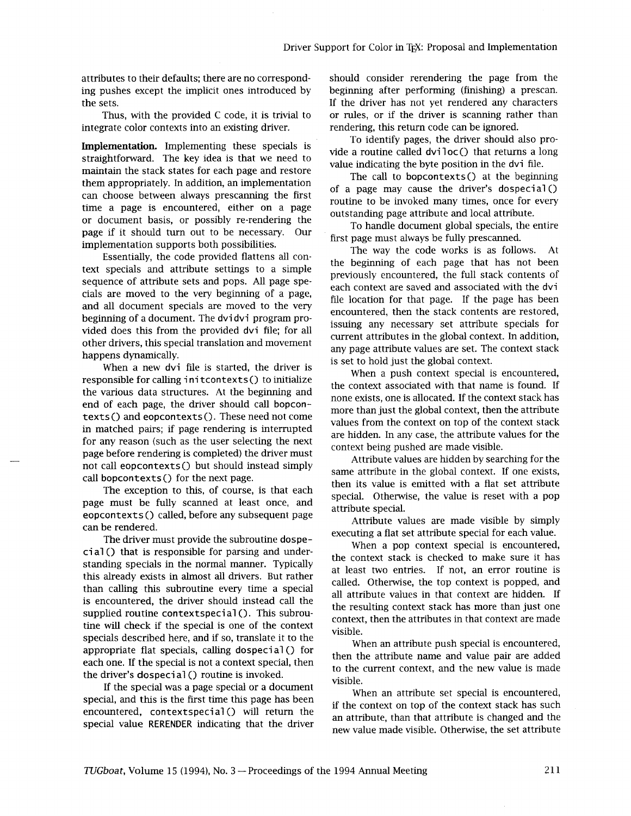ing pushes except the implicit ones introduced by the sets. If the driver has not yet rendered any characters

integrate color contexts into an existing driver. rendering, this return code can be ignored.

**Implementation.** Implementing these specials is straightforward. The key idea is that we need to maintain the stack states for each page and restore them appropriately. In addition, an implementation can choose between always prescanning the first time a page is encountered, either on a page or document basis, or possibly re-rendering the page if it should turn out to be necessary. Our implementation supports both possibilities.

Essentially, the code provided flattens all context specials and attribute settings to a simple sequence of attribute sets and pops. All page specials are moved to the very beginning of a page, and all document specials are moved to the very beginning of a document. The dvi dvi program provided does this from the provided dvi file; for all other drivers, this special translation and movement happens dynamically.

When a new dvi file is started, the driver is responsible for calling initcontexts() to initialize the various data structures. At the beginning and end of each page, the driver should call bopcontexts () and eopcontexts (). These need not come in matched pairs; if page rendering is interrupted for any reason (such as the user selecting the next page before rendering is completed) the driver must not call eopcontexts() but should instead simply call bopcontexts() for the next page.

The exception to this, of course, is that each page must be fully scanned at least once, and eopcontexts () called, before any subsequent page can be rendered.

The driver must provide the subroutine dospeci a1 () that is responsible for parsing and understanding specials in the normal manner. Typically this already exists in almost all drivers. But rather than calling this subroutine every time a special is encountered, the driver should instead call the supplied routine contextspecial(). This subroutine will check if the special is one of the context specials described here, and if so, translate it to the appropriate flat specials, calling dospeci a1 () for each one. If the special is not a context special, then the driver's dospeci a1 () routine is invoked.

If the special was a page special or a document special, and this is the first time this page has been encountered, contextspecial() will return the special value RERENDER indicating that the driver

attributes to their defaults; there are no correspond-<br>ing pushes except the implicit ones introduced by beginning after performing (finishing) a prescan. Thus, with the provided C code, it is trivial to or rules, or if the driver is scanning rather than

> To identify pages, the driver should also provide a routine called  $diviloc()$  that returns a long value indicating the byte position in the dvi file.

> The call to bopcontexts() at the beginning of a page may cause the driver's dospecial  $()$ routine to be invoked many times, once for every outstanding page attribute and local attribute.

> To handle document global specials, the entire first page must always be fully prescanned.

The way the code works is as follows. At the beginning of each page that has not been previously encountered, the full stack contents of each context are saved and associated with the dvi file location for that page. If the page has been encountered, then the stack contents are restored, issuing any necessary set attribute specials for current attributes in the global context. In addition, any page attribute values are set. The context stack is set to hold just the global context.

When a push context special is encountered, the context associated with that name is found. If none exists, one is allocated. If the context stack has more than just the global context, then the attribute values from the context on top of the context stack are hidden. In any case, the attribute values for the context being pushed are made visible.

Attribute values are hidden by searching for the same attribute in the global context. If one exists, then its value is emitted with a flat set attribute special. Otherwise, the value is reset with a pop attribute special.

Attribute values are made visible by simply executing a flat set attribute special for each value.

When a pop context special is encountered, the context stack is checked to make sure it has at least two entries. If not, an error routine is called. Otherwise, the top context is popped, and all attribute values in that context are hidden. If the resulting context stack has more than just one context, then the attributes in that context are made visible.

When an attribute push special is encountered, then the attribute name and value pair are added to the current context, and the new value is made visible.

When an attribute set special is encountered, if the context on top of the context stack has such an attribute, than that attribute is changed and the new value made visible. Otherwise, the set attribute